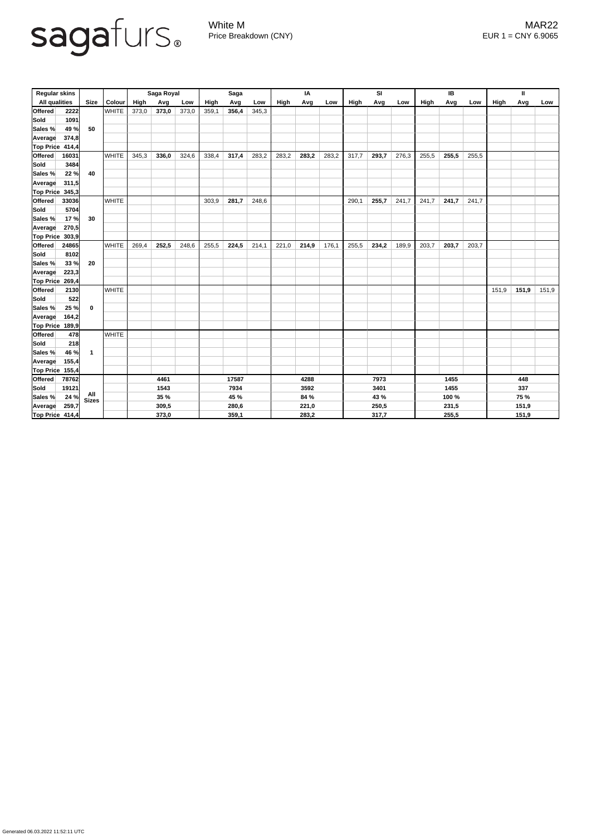

Generated 06.03.2022 11:52:11 UTC

White M MAR22 Price Breakdown (CNY) EUR 1 = CNY 6.9065

| <b>Regular skins</b> |       |                         |               | Saga Royal  |       |       | <b>Saga</b> |       |       | IA    |       |       | SI          |       |       | IB    |       |       | Ш            |             |       |  |
|----------------------|-------|-------------------------|---------------|-------------|-------|-------|-------------|-------|-------|-------|-------|-------|-------------|-------|-------|-------|-------|-------|--------------|-------------|-------|--|
| <b>All qualities</b> |       | <b>Size</b>             | <b>Colour</b> | <b>High</b> | Avg   | Low   | High        | Avg   | Low   | High  | Avg   | Low   | <b>High</b> | Avg   | Low   | High  | Avg   | Low   | <b>High</b>  | Avg         | Low   |  |
| <b>Offered</b>       | 2222  |                         | <b>WHITE</b>  | 373,0       | 373,0 | 373,0 | 359,1       | 356,4 | 345,3 |       |       |       |             |       |       |       |       |       |              |             |       |  |
| Sold                 | 1091  |                         |               |             |       |       |             |       |       |       |       |       |             |       |       |       |       |       |              |             |       |  |
| Sales %              | 49 %  | 50                      |               |             |       |       |             |       |       |       |       |       |             |       |       |       |       |       |              |             |       |  |
| Average              | 374,8 |                         |               |             |       |       |             |       |       |       |       |       |             |       |       |       |       |       |              |             |       |  |
| Top Price 414,4      |       |                         |               |             |       |       |             |       |       |       |       |       |             |       |       |       |       |       |              |             |       |  |
| <b>Offered</b>       | 16031 |                         | <b>WHITE</b>  | 345,3       | 336,0 | 324,6 | 338,4       | 317,4 | 283,2 | 283,2 | 283,2 | 283,2 | 317,7       | 293,7 | 276,3 | 255,5 | 255,5 | 255,5 |              |             |       |  |
| Sold                 | 3484  |                         |               |             |       |       |             |       |       |       |       |       |             |       |       |       |       |       |              |             |       |  |
| Sales %              | 22%   | 40                      |               |             |       |       |             |       |       |       |       |       |             |       |       |       |       |       |              |             |       |  |
| <b>Average</b>       | 311,5 |                         |               |             |       |       |             |       |       |       |       |       |             |       |       |       |       |       |              |             |       |  |
| Top Price            | 345,3 |                         |               |             |       |       |             |       |       |       |       |       |             |       |       |       |       |       |              |             |       |  |
| <b>Offered</b>       | 33036 |                         | <b>WHITE</b>  |             |       |       | 303,9       | 281,7 | 248,6 |       |       |       | 290,1       | 255,7 | 241,7 | 241,7 | 241,7 | 241,7 |              |             |       |  |
| <b>Sold</b>          | 5704  |                         |               |             |       |       |             |       |       |       |       |       |             |       |       |       |       |       |              |             |       |  |
| Sales %              | 17%   | 30                      |               |             |       |       |             |       |       |       |       |       |             |       |       |       |       |       |              |             |       |  |
| <b>Average</b>       | 270,5 |                         |               |             |       |       |             |       |       |       |       |       |             |       |       |       |       |       |              |             |       |  |
| <b>Top Price</b>     | 303,9 |                         |               |             |       |       |             |       |       |       |       |       |             |       |       |       |       |       |              |             |       |  |
| <b>Offered</b>       | 24865 |                         | <b>WHITE</b>  | 269,4       | 252,5 | 248,6 | 255,5       | 224,5 | 214,1 | 221,0 | 214,9 | 176,1 | 255,5       | 234,2 | 189,9 | 203,7 | 203,7 | 203,7 |              |             |       |  |
| Sold                 | 8102  |                         |               |             |       |       |             |       |       |       |       |       |             |       |       |       |       |       |              |             |       |  |
| Sales %              | 33%   | 20                      |               |             |       |       |             |       |       |       |       |       |             |       |       |       |       |       |              |             |       |  |
| <b>Average</b>       | 223,3 |                         |               |             |       |       |             |       |       |       |       |       |             |       |       |       |       |       |              |             |       |  |
| Top Price            | 269,4 |                         |               |             |       |       |             |       |       |       |       |       |             |       |       |       |       |       |              |             |       |  |
| <b>Offered</b>       | 2130  |                         | <b>WHITE</b>  |             |       |       |             |       |       |       |       |       |             |       |       |       |       |       | 151,9        | 151,9       | 151,9 |  |
| Sold                 | 522   |                         |               |             |       |       |             |       |       |       |       |       |             |       |       |       |       |       |              |             |       |  |
| <b>Sales %</b>       | 25 %  | $\boldsymbol{0}$        |               |             |       |       |             |       |       |       |       |       |             |       |       |       |       |       |              |             |       |  |
| Average              | 164,2 |                         |               |             |       |       |             |       |       |       |       |       |             |       |       |       |       |       |              |             |       |  |
| Top Price 189,9      |       |                         |               |             |       |       |             |       |       |       |       |       |             |       |       |       |       |       |              |             |       |  |
| Offered              | 478   |                         | <b>WHITE</b>  |             |       |       |             |       |       |       |       |       |             |       |       |       |       |       |              |             |       |  |
| Sold                 | 218   |                         |               |             |       |       |             |       |       |       |       |       |             |       |       |       |       |       |              |             |       |  |
| Sales %              | 46 %  | $\overline{\mathbf{1}}$ |               |             |       |       |             |       |       |       |       |       |             |       |       |       |       |       |              |             |       |  |
| Average              | 155,4 |                         |               |             |       |       |             |       |       |       |       |       |             |       |       |       |       |       |              |             |       |  |
| <b>Top Price</b>     | 155,4 |                         |               |             |       |       |             |       |       |       |       |       |             |       |       |       |       |       |              |             |       |  |
| <b>Offered</b>       | 78762 |                         |               | 4461        |       | 17587 |             | 4288  |       |       |       | 7973  |             |       | 1455  |       |       | 448   |              |             |       |  |
| Sold                 | 19121 |                         |               | 1543        |       |       | 7934        |       |       | 3592  |       |       | 3401        |       |       | 1455  |       |       | 337          |             |       |  |
| Sales %              | 24 %  | All<br>Sizes            |               | <b>35 %</b> |       |       | 45 %        |       |       |       | 84 %  |       |             | 43 %  |       |       | 100 % |       |              | <b>75 %</b> |       |  |
| <b>Average</b>       | 259,7 |                         |               | 309,5       |       |       | 280,6       |       |       |       | 221,0 |       |             | 250,5 |       |       | 231,5 |       |              | 151,9       |       |  |
| Top Price 414,4      |       |                         |               | 373,0       |       |       | 359,1       |       |       | 283,2 |       |       | 317,7       |       |       | 255,5 |       |       | <u>151,9</u> |             |       |  |